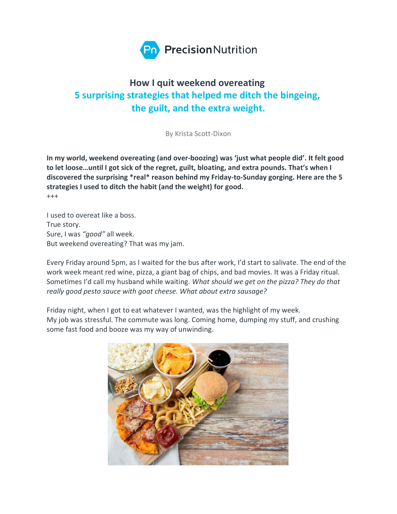

# **How I quit weekend overeating 5 surprising strategies that helped me ditch the bingeing, the guilt, and the extra weight.**

By Krista Scott-Dixon

**In my world, weekend overeating (and over-boozing) was 'just what people did'. It felt good to let loose…until I got sick of the regret, guilt, bloating, and extra pounds. That's when I discovered the surprising \*real\* reason behind my Friday-to-Sunday gorging. Here are the 5 strategies I used to ditch the habit (and the weight) for good.** +++

I used to overeat like a boss. True story. Sure, I was *"good"* all week. But weekend overeating? That was my jam.

Every Friday around 5pm, as I waited for the bus after work, I'd start to salivate. The end of the work week meant red wine, pizza, a giant bag of chips, and bad movies. It was a Friday ritual. Sometimes I'd call my husband while waiting. *What should we get on the pizza? They do that really good pesto sauce with goat cheese. What about extra sausage?*

Friday night, when I got to eat whatever I wanted, was the highlight of my week. My job was stressful. The commute was long. Coming home, dumping my stuff, and crushing some fast food and booze was my way of unwinding.

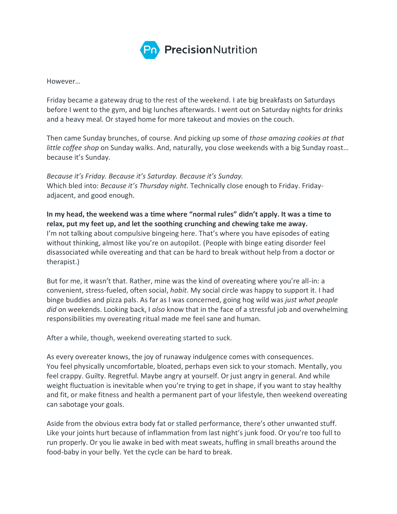

However…

Friday became a gateway drug to the rest of the weekend. I ate big breakfasts on Saturdays before I went to the gym, and big lunches afterwards. I went out on Saturday nights for drinks and a heavy meal. Or stayed home for more takeout and movies on the couch.

Then came Sunday brunches, of course. And picking up some of *those amazing cookies at that little coffee shop* on Sunday walks. And, naturally, you close weekends with a big Sunday roast… because it's Sunday.

*Because it's Friday. Because it's Saturday. Because it's Sunday.* Which bled into: *Because it's Thursday night.* Technically close enough to Friday. Fridayadjacent, and good enough.

**In my head, the weekend was a time where "normal rules" didn't apply. It was a time to relax, put my feet up, and let the soothing crunching and chewing take me away.** I'm not talking about compulsive bingeing here. That's where you have episodes of eating without thinking, almost like you're on autopilot. (People with binge eating disorder feel disassociated while overeating and that can be hard to break without help from a doctor or therapist.)

But for me, it wasn't that. Rather, mine was the kind of overeating where you're all-in: a convenient, stress-fueled, often social, *habit*. My social circle was happy to support it. I had binge buddies and pizza pals. As far as I was concerned, going hog wild was *just what people did* on weekends. Looking back, I *also* know that in the face of a stressful job and overwhelming responsibilities my overeating ritual made me feel sane and human.

After a while, though, weekend overeating started to suck.

As every overeater knows, the joy of runaway indulgence comes with consequences. You feel physically uncomfortable, bloated, perhaps even sick to your stomach. Mentally, you feel crappy. Guilty. Regretful. Maybe angry at yourself. Or just angry in general. And while weight fluctuation is inevitable when you're trying to get in shape, if you want to stay healthy and fit, or make fitness and health a permanent part of your lifestyle, then weekend overeating can sabotage your goals.

Aside from the obvious extra body fat or stalled performance, there's other unwanted stuff. Like your joints hurt because of inflammation from last night's junk food. Or you're too full to run properly. Or you lie awake in bed with meat sweats, huffing in small breaths around the food-baby in your belly. Yet the cycle can be hard to break.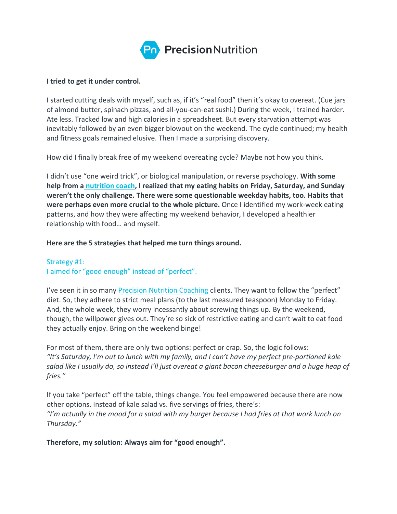

#### **I tried to get it under control.**

I started cutting deals with myself, such as, if it's "real food" then it's okay to overeat. (Cue jars of almond butter, spinach pizzas, and all-you-can-eat sushi.) During the week, I trained harder. Ate less. Tracked low and high calories in a spreadsheet. But every starvation attempt was inevitably followed by an even bigger blowout on the weekend. The cycle continued; my health and fitness goals remained elusive. Then I made a surprising discovery.

How did I finally break free of my weekend overeating cycle? Maybe not how you think.

I didn't use "one weird trick", or biological manipulation, or reverse psychology. **With some help from a [nutrition](https://pacenutritioncoaching.com/) coach, I realized that my eating habits on Friday, Saturday, and Sunday weren't the only challenge. There were some questionable weekday habits, too. Habits that were perhaps even more crucial to the whole picture.** Once I identified my work-week eating patterns, and how they were affecting my weekend behavior, I developed a healthier relationship with food… and myself.

#### **Here are the 5 strategies that helped me turn things around.**

Strategy #1: I aimed for "good enough" instead of "perfect".

I've seen it in so many [Precision Nutrition Coaching](https://pacenutritioncoaching.com/) clients. They want to follow the "perfect" diet. So, they adhere to strict meal plans (to the last measured teaspoon) Monday to Friday. And, the whole week, they worry incessantly about screwing things up. By the weekend, though, the willpower gives out. They're so sick of restrictive eating and can't wait to eat food they actually enjoy. Bring on the weekend binge!

For most of them, there are only two options: perfect or crap. So, the logic follows: *"It's Saturday, I'm out to lunch with my family, and I can't have my perfect pre-portioned kale* salad like I usually do, so instead I'll just overeat a giant bacon cheeseburger and a huge heap of *fries."*

If you take "perfect" off the table, things change. You feel empowered because there are now other options. Instead of kale salad vs. five servings of fries, there's: "I'm actually in the mood for a salad with my burger because I had fries at that work lunch on *Thursday."*

**Therefore, my solution: Always aim for "good enough".**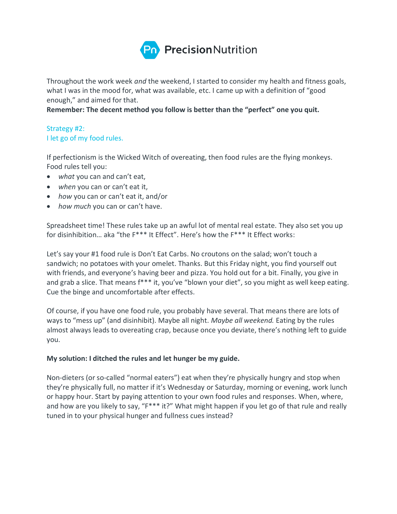

Throughout the work week *and* the weekend, I started to consider my health and fitness goals, what I was in the mood for, what was available, etc. I came up with a definition of "good enough," and aimed for that.

**Remember: The decent method you follow is better than the "perfect" one you quit.**

## Strategy #2: I let go of my food rules.

If perfectionism is the Wicked Witch of overeating, then food rules are the flying monkeys. Food rules tell you:

- *what* you can and can't eat,
- *when* you can or can't eat it,
- *how* you can or can't eat it, and/or
- *how much* you can or can't have.

Spreadsheet time! These rules take up an awful lot of mental real estate. They also set you up for disinhibition… aka "the F\*\*\* It Effect". Here's how the F\*\*\* It Effect works:

Let's say your #1 food rule is Don't Eat Carbs. No croutons on the salad; won't touch a sandwich; no potatoes with your omelet. Thanks. But this Friday night, you find yourself out with friends, and everyone's having beer and pizza. You hold out for a bit. Finally, you give in and grab a slice. That means f\*\*\* it, you've "blown your diet", so you might as well keep eating. Cue the binge and uncomfortable after effects.

Of course, if you have one food rule, you probably have several. That means there are lots of ways to "mess up" (and disinhibit). Maybe all night. *Maybe all weekend.* Eating by the rules almost always leads to overeating crap, because once you deviate, there's nothing left to guide you.

#### **My solution: I ditched the rules and let hunger be my guide.**

Non-dieters (or so-called "normal eaters") eat when they're physically hungry and stop when they're physically full, no matter if it's Wednesday or Saturday, morning or evening, work lunch or happy hour. Start by paying attention to your own food rules and responses. When, where, and how are you likely to say, "F\*\*\* it?" What might happen if you let go of that rule and really tuned in to your physical hunger and fullness cues instead?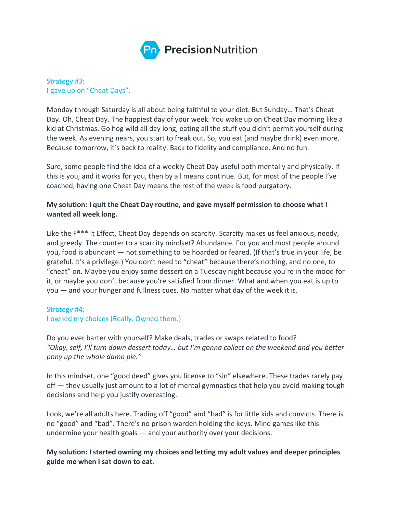

## Strategy #3: I gave up on "Cheat Days".

Monday through Saturday is all about being faithful to your diet. But Sunday… That's Cheat Day. Oh, Cheat Day. The happiest day of your week. You wake up on Cheat Day morning like a kid at Christmas. Go hog wild all day long, eating all the stuff you didn't permit yourself during the week. As evening nears, you start to freak out. So, you eat (and maybe drink) even more. Because tomorrow, it's back to reality. Back to fidelity and compliance. And no fun.

Sure, some people find the idea of a weekly Cheat Day useful both mentally and physically. If this is you, and it works for you, then by all means continue. But, for most of the people I've coached, having one Cheat Day means the rest of the week is food purgatory.

## **My solution: I quit the Cheat Day routine, and gave myself permission to choose what I wanted all week long.**

Like the F\*\*\* It Effect, Cheat Day depends on scarcity. Scarcity makes us feel anxious, needy, and greedy. The counter to a scarcity mindset? Abundance. For you and most people around you, food is abundant — not something to be hoarded or feared. (If that's true in your life, be grateful. It's a privilege.) You don't need to "cheat" because there's nothing, and no one, to "cheat" on. Maybe you enjoy some dessert on a Tuesday night because you're in the mood for it, or maybe you don't because you're satisfied from dinner. What and when you eat is up to you — and your hunger and fullness cues. No matter what day of the week it is.

#### Strategy #4:

## I owned my choices (Really. Owned them.)

Do you ever barter with yourself? Make deals, trades or swaps related to food? *"Okay, self, I'll turn down dessert today… but I'm gonna collect on the weekend and you better pony up the whole damn pie."*

In this mindset, one "good deed" gives you license to "sin" elsewhere. These trades rarely pay off — they usually just amount to a lot of mental gymnastics that help you avoid making tough decisions and help you justify overeating.

Look, we're all adults here. Trading off "good" and "bad" is for little kids and convicts. There is no "good" and "bad". There's no prison warden holding the keys. Mind games like this undermine your health goals — and your authority over your decisions.

**My solution: I started owning my choices and letting my adult values and deeper principles guide me when I sat down to eat.**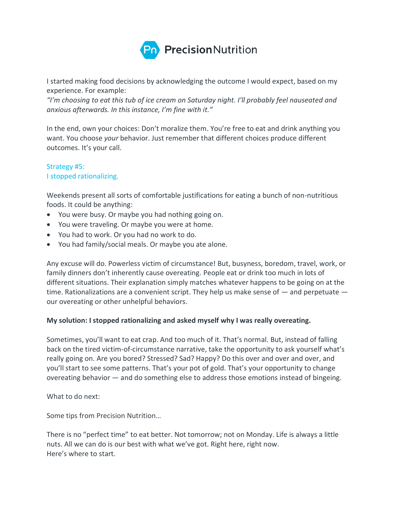

I started making food decisions by acknowledging the outcome I would expect, based on my experience. For example:

*"I'm choosing to eat this tub of ice cream on Saturday night. I'll probably feel nauseated and anxious afterwards. In this instance, I'm fine with it."*

In the end, own your choices: Don't moralize them. You're free to eat and drink anything you want. You choose *your* behavior. Just remember that different choices produce different outcomes. It's your call.

### Strategy #5: I stopped rationalizing.

Weekends present all sorts of comfortable justifications for eating a bunch of non-nutritious foods. It could be anything:

- You were busy. Or maybe you had nothing going on.
- You were traveling. Or maybe you were at home.
- You had to work. Or you had no work to do.
- You had family/social meals. Or maybe you ate alone.

Any excuse will do. Powerless victim of circumstance! But, busyness, boredom, travel, work, or family dinners don't inherently cause overeating. People eat or drink too much in lots of different situations. Their explanation simply matches whatever happens to be going on at the time. Rationalizations are a convenient script. They help us make sense of — and perpetuate our overeating or other unhelpful behaviors.

## **My solution: I stopped rationalizing and asked myself why I was really overeating.**

Sometimes, you'll want to eat crap. And too much of it. That's normal. But, instead of falling back on the tired victim-of-circumstance narrative, take the opportunity to ask yourself what's really going on. Are you bored? Stressed? Sad? Happy? Do this over and over and over, and you'll start to see some patterns. That's your pot of gold. That's your opportunity to change overeating behavior — and do something else to address those emotions instead of bingeing.

What to do next:

Some tips from Precision Nutrition…

There is no "perfect time" to eat better. Not tomorrow; not on Monday. Life is always a little nuts. All we can do is our best with what we've got. Right here, right now. Here's where to start.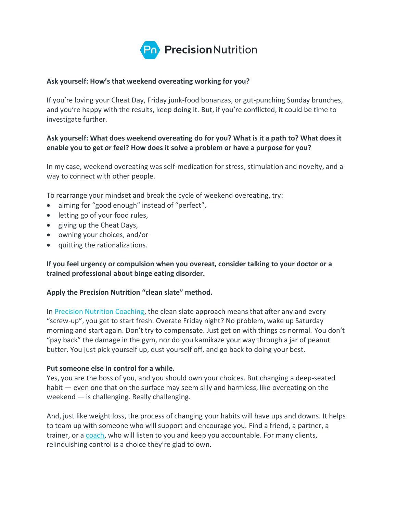

#### **Ask yourself: How's that weekend overeating working for you?**

If you're loving your Cheat Day, Friday junk-food bonanzas, or gut-punching Sunday brunches, and you're happy with the results, keep doing it. But, if you're conflicted, it could be time to investigate further.

## **Ask yourself: What does weekend overeating do for you? What is it a path to? What does it enable you to get or feel? How does it solve a problem or have a purpose for you?**

In my case, weekend overeating was self-medication for stress, stimulation and novelty, and a way to connect with other people.

To rearrange your mindset and break the cycle of weekend overeating, try:

- aiming for "good enough" instead of "perfect",
- letting go of your food rules,
- giving up the Cheat Days,
- owning your choices, and/or
- quitting the rationalizations.

## **If you feel urgency or compulsion when you overeat, consider talking to your doctor or a trained professional about binge eating disorder.**

#### **Apply the Precision Nutrition "clean slate" method.**

In [Precision Nutrition Coaching,](https://pacenutritioncoaching.com/) the clean slate approach means that after any and every "screw-up", you get to start fresh. Overate Friday night? No problem, wake up Saturday morning and start again. Don't try to compensate. Just get on with things as normal. You don't "pay back" the damage in the gym, nor do you kamikaze your way through a jar of peanut butter. You just pick yourself up, dust yourself off, and go back to doing your best.

#### **Put someone else in control for a while.**

Yes, you are the boss of you, and you should own your choices. But changing a deep-seated habit — even one that on the surface may seem silly and harmless, like overeating on the weekend — is challenging. Really challenging.

And, just like weight loss, the process of changing your habits will have ups and downs. It helps to team up with someone who will support and encourage you. Find a friend, a partner, a trainer, or a [coach,](https://pacenutritioncoaching.com/) who will listen to you and keep you accountable. For many clients, relinquishing control is a choice they're glad to own.